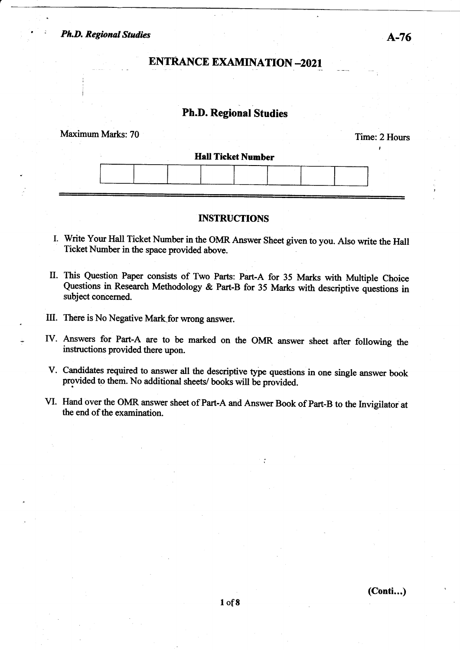## **ENTRANCE EXAMINATION -2021**

## Ph.D. Regional Studies

# Maximum Marks: 70 Time: 2 Hours I **Hall Ticket Number**

#### INSTRUCTIONS

- I. Write Your Hall Ticket Number in the OMR Answer Sheet given to you. Also write the Hal Ticket Number in the space provided above.
- II. This Question Paper consists of Two Parts: Part-A for 35 Marks with Multiple Choice Questions in Research Methodology & Part-B for 35 Marks with descriptive questions in subject concerned.
- III. There is No Negative Mark for wrong answer.
- IV. Answers for Part-A are to be marked on the OMR answer sheet after following the instructions provided there upon.
- V. Candidates required to answer all the descriptive type questions in one single answer book provided to them. No additional sheets/ books will be provided.
- VI. Hand over the OMR answer sheet of Part-A and Answer Book of Part-B to the lnvigilatorat the end of the examination.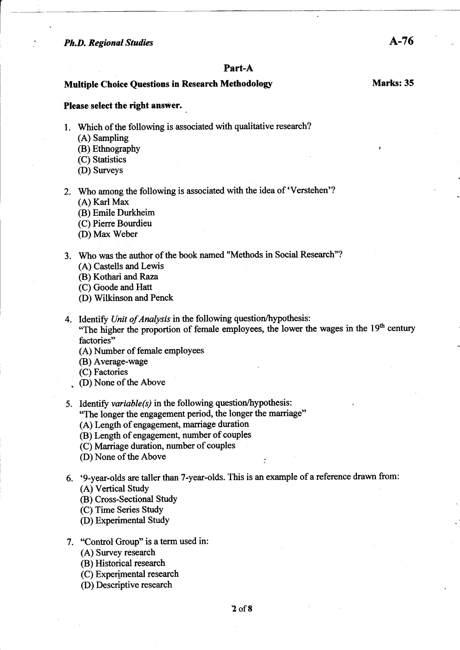#### Part-A

#### Multiple Choice Ouestions in Research Methodology Marks: 35

#### Please select the right answer.

1. Which of the following is associated with qualitative research?

.

- (A) Sampling
- (B) Ethnography
- (C) Statistics
- (D) Surveys
- 2. Who among the following is associated with the idea of 'Verstehen'? (A) Karl Max
	- (B) Emile Durkheim
	- (C) Piene Bourdieu
	- (D) Ma< Weber
- 3. Who was the author of the book named "Methods in Social Research"? (A) Castells and Lewis
	- @) Kothari and Raza
	- (C) Goode and Hatt
	- (D) Wilkinson and Penck
- 4. Identify Unit of Analysis in the following question/hypothesis:
	- "The higher the proportion of female employees, the lower the wages in the  $19<sup>th</sup>$  century factories"
	- (A) Number of female employees
	- (B) Average-wage
	- (C) Factories
	- . (D) None of the Above
- 5. Identify *variable(s)* in the following question/hypothesis: "The longer the engagement period, the longer the mariage"
	- (A) Length of engagement, marriage duration
	- (B) Length of engagement, number of couples
	- (C) Marriage duration, number of couples
	- (D) None of the Above
- 6. '9-year-olds are taller than 7-year-olds. This is an example of a reference drawn from: (A) Vertical Study
	- (B) Cross-Sectional Study
	- (C) Time Series Study
	- (D) Experimental Study
- 7. "Control Group" is a term used in:
	- (A) Survey research
	- (B) Historical research
	- (C) Experimental research
	- (D) Descriptive research

A-76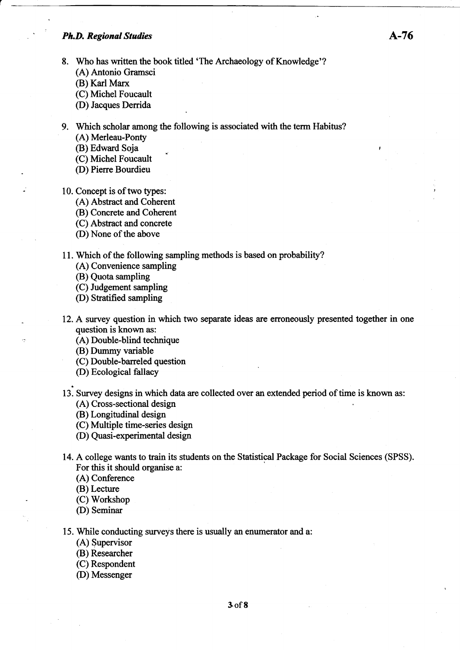- 8. Who has written the book titled 'The Archaeology of Knowledge'? (A) Antonio Gramsci
	-
	- (B) Karl Marx
	- (C) Michel Foucault
	- (D) Jacques Derrida
- 9. Which scholar among the following is associated with the term Habitus?

,

- (A) Merleau-Ponty
- (B) Edward Soja
- (C) Michel Foucault
- (D) Pierre Bourdieu
- 10. Concept is of two types:
	- (A) Abstract and Coherent
	- (B) Concrete and Coherent
	- (C) Abstact and concrete
	- (D) None of the above
- 11. Which of the following sampling methods is based on probability?
	- (A) Convenience sampling
	- (B) Quota sampling
	- (C) Judgement sampling
	- @) Stratified sampling
- 12. A survey question in which two separate ideas are erroneously presented together in one question is known as:
	- (A) Double-blind technique
	- (B) Dummy variable
	- (C) Double-barreled question
	- (D) Ecological fallacy
- 13. Survey designs in which data are collected over an extended period of time is known as: (A) Cross-sectional design
	- (B) Longitudinal design
	- (C) Multiple time-series design
	- (D) Quasi-experimental design
- 14. A college wants to train its students on the Statistical Package for Social Sciences (SPSS). For this it should organise a:
	- (A) Conference
	- (B) Lecture
	- (C) Workshop
	- @) Seminar
- 15. While conducting surveys there is usually an enumerator and a:
	- (A) Supervisor
	- (B) Researcher
	- (C) Respondent
	- (D) Messenger

,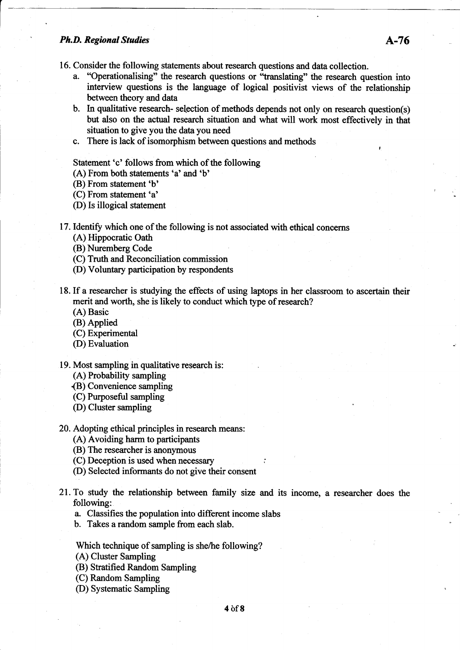,

16. Consider the following statements about research questions and data collection.

- a. "Operationalising" the research questions or "translating" the research question into interview questions is the language of logical positivist views of the relationship between theory and data
- b. In qualitative research- selection of methods depends not only on research question(s) but also on the actual research situation and what will work most effectively in that situation to give you the data you need
- c. There is lack of isomorphism between questions and methods

Statement'c' follows from which of the following

(A) From both statements 'a' and'b'

@) From statement'b'

(C) From statement'a'

- (D) Is illogical statement
- 17. Identifu which one of the following is not associated with ethical concerns
	- (A) Hippocratic Oath
	- (B) Nuremberg Code
	- (C) Truth and Reconciliation commission
	- @) Voluntary participation by respondents
- 18.If a researcher is studying the effects of using laptops in her classroom to ascertain their merit and worth, she is likely to conduct which type of research?
	- (A) Basic
	- @) Applied
	- (C) Experimental
	- (D) Evaluation
- 19. Most sampling in qualitative research is:
	- (A) Probability sampling
	- @) Convenience sampling
	- (C) Purposeful sampling
	- @) Cluster sampling
- 20. Adopting ethical principles in research means:
	- (A) Avoiding harm to participants
	- (B) The researcher is anonymous
	- (C) Deception is used when necessary
	- (D) Selected informants do not give their consent
- 21. To study the relationship between family size and its income, a researcher does the following:
	- a. Classifies the population into different income slabs
	- b. Takes a random sample from each slab.

Which technique of sampling is she/he following?

- (A) Cluster Sampling
- (B) Stratified Random Sampling
- (C) Random Sampling
- @) Systematic Sampling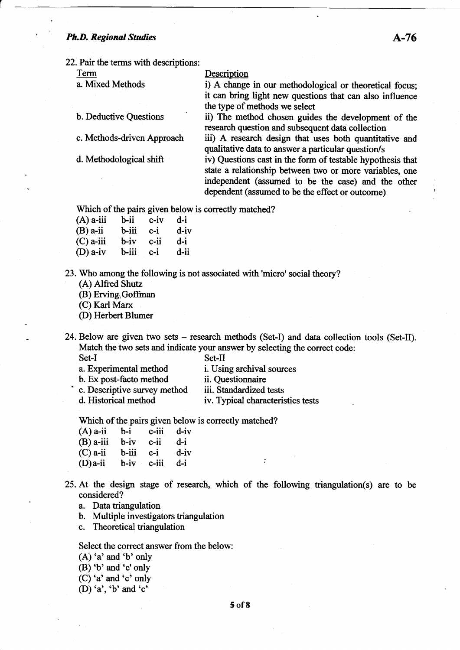22. Pair the terms with descriptions:

Term Description

a. Mixed Methods i) A change in our methodological or theoretical focus; it can bring light new questions that can also influence the type of methods we select

b. Deductive Questions ii) The method chosen guides the development of the

research question and subsequent data collection c. Methods-driven Approach iii) A research design that uses both quantitative and qualitative data to answer a particular question/s

d. Methodological shift iv) Questions cast in the form of testable hypothesis that state a relationship between two or more variables, one independent (assumed to be the case) and the other dependent (assumed to be the effect or outcome)

Which of the pairs given below is correctly matched?

| b-ii  | $c$ -iv | d-i  |
|-------|---------|------|
| b-iii | c-i     | d-iv |
| b-iv  | c-ii    | d-i  |
| b-iii | $c-i$   | d-ii |
|       |         |      |

23. Who among the following is not associated with'micro'social theory?

(A) Alfred Shutz

(B) Erving Goffman

(C) Karl Marx

@) Herbert Blumer

24. Below are given two sets – research methods (Set-I) and data collection tools (Set-II). Match the two sets and indicate your answer by selecting the correct code:<br>Set-I<br>a. Experimental method i. Using archival sources

i. Using archival sources

b. Ex post-facto method ii. Questionnaire<br>
c. Descriptive survey method iii. Standardized tests

- 
- 
- 
- d. Historical method iv. Typical characteristics tests

Which of the pairs given below is correctly matched?

| (A) a-ii b-i c-iii d-iv   |  |  |
|---------------------------|--|--|
| $(B)$ a-iii b-iv c-ii d-i |  |  |
| $(C)$ a-ii b-iii c-i d-iv |  |  |
| (D)a-ii b-iv c-iii d-i    |  |  |
|                           |  |  |

25. At the design stage of research, which of the following triangulation(s) are to be considered?

a. Data triangulation

b. Multiple investigators triangulation

c. Theoretical triangulation

Select the correct answer from the below:

(A) 'a' and 'b' only

(B) 'b' and 'c' only

(C) 'a' and 'c' only

(D) 'a', 'b' and 'c'

5 of8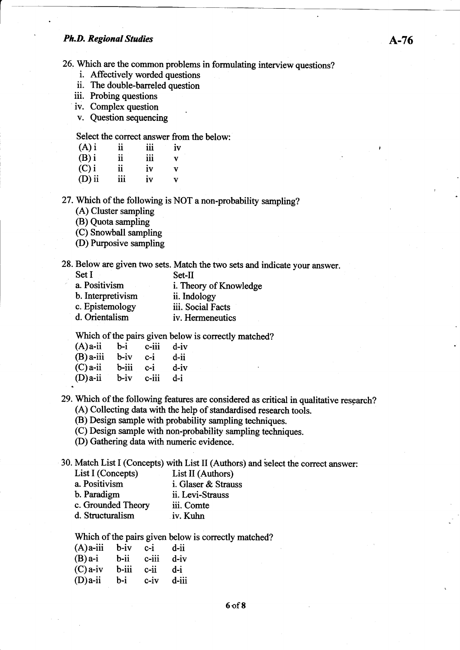26. Which are the common problems in formulating interview questions? i. Affectively worded questions

- 
- ii. The double-barreled question
- iii. Probing questions
- iv. Complex question

v. Question sequencing

Select the correct answer from the below:

| $(A)$ i  | ii  | 111 | iv           |
|----------|-----|-----|--------------|
| $(B)$ i  | ii  | 111 | $\mathbf{v}$ |
| $(C)$ i  | ii  | iv  | v            |
| $(D)$ ii | 111 | iv  | v            |

27. Which of the following is NOT a non-probability sampling?

(A) Cluster sampling

(B) Quota sampling

(C) Snowball sampling

@) Purposive sampling

28. Below are given two sets. Match the two sets and indicate your answer.<br>Set I

| -1 |  |  | Set- |
|----|--|--|------|
|    |  |  |      |

a. Positivism i. Theory of Knowledge b. Interpretivism ii. Indology c. Epistemology iii. Social Facts<br>d. Orientalism iv. Hermeneutic iv. Hermeneutics

Which of the pairs given below is correctly matched?

| $(A)$ a-ii  | $b-i$    | c-iii | d-iv    |
|-------------|----------|-------|---------|
| $(B)$ a-iii | $b - iv$ | c-i   | d-ii    |
| $(C)$ a-ii  | b-iii    | $c-i$ | $d$ -iv |
| $(D)$ a-ii  | b-iv     | c-iii | d-i     |
|             |          |       |         |

29. Which of the following features are considered as critical in qualitative research? (A) Collecting data with the help of standardised research tools.

(B) Design sample with probability sampling techniques.

(C) Design sample with non-probability sampling techniques.

(D) Gathering data with numeric evidence.

30. Match List I (Concepts) with List II (Authors) and ielect the correct answer:

| $\frac{1}{2}$      |                     |
|--------------------|---------------------|
| List I (Concepts)  | List II (Authors)   |
| a. Positivism      | i. Glaser & Strauss |
| b. Paradigm        | ii. Levi-Strauss    |
| c. Grounded Theory | iii. Comte          |
| d. Structuralism   | iv. Kuhn            |
|                    |                     |

Which of the pairs given below is correctly matched?

| $(A)$ a-iii | b-iv  | $c-i$    | d-ii  |
|-------------|-------|----------|-------|
| $(B)$ a-i   | b-ii  | $c$ -iii | d-iv  |
| $(C)$ a-iv  | b-iii | c-ii     | d-i   |
| $(D)a$ -ii  | b-i   | c-iv     | d-iii |
|             |       |          |       |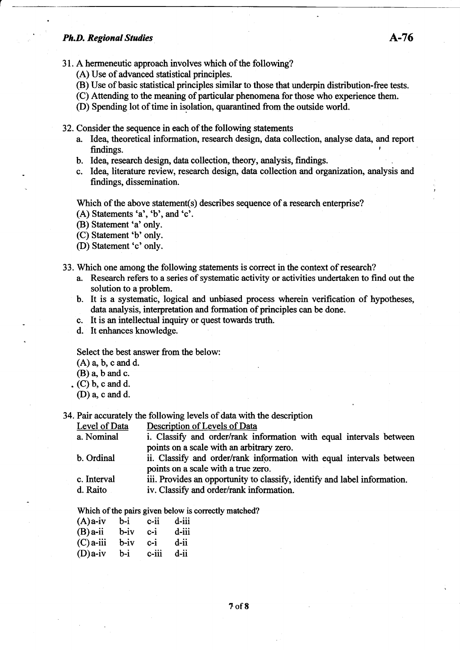- (A) Use of advanced statistical principles.
- (B) Use of basic statistical principles similar to those that underpin distribution-free tests.
- (C) Attending to the meaning of particular phenomena for those who experience them.
- (D) Spending lot of time in isolation, quarantined from the outside world.
- 32. Consider the sequence in each of the following statements
	- a. Idea, theoretical information, research design, data collection, analyse data, and report findings. findings.
	- b. Idea, research design, data collection, theory, analysis, findings.
	- c. Idea, literature review, research design, data collection and organization, analysis and findings, dissemination.

Which of the above statement(s) describes sequence of a research enterprise?

- (A) Statements  $a', b',$  and  $c'.$
- @) Statement'a'only.
- (C) Statement'b' only.
- (D) Statement'c'only.
- 33. Which one among the following statements is correct in the context of research?
	- a. Research refers to a series of systematic activity or activities undertaken to find out the solution to a problem.
	- b. It is a systematic, logical and unbiased process wherein verification of hypotheses, data analysis, interpretation and formation of principles can be done.
	- c. It is an intellectual inquiry or quest towards truth.
	- d. It enhances knowledge

Select the best answer from the below:

- (A) a, b, c and d.
- $(B)$  a, b and c.
- . (C) b, c and d.
	- $(D)$  a, c and d.
- 34. Pair accurately the following levels of data with the description

Level of Data Description of Levels of Data<br>a. Nominal i. Classify and order/rank in

- i. Classify and order/rank information with equal intervals between points on a scale with an arbitrary zero.
- b. Ordinal ii. Classify and order/rank information with equal intervals between points on a scale with a true zero.
- c. Interval iii. Provides an opportunity to classify, identify and label information.<br>d. Raito iv. Classify and order/rank information.
- iv. Classify and order/rank information.

Which of the pairs given below is correctly matched?

| $(A)$ a-iv  | b-i  | $c$ -ii | d-iii |
|-------------|------|---------|-------|
| $(B)$ a-ii  | b-iv | $c-i$   | d-iii |
| $(C)$ a-iii | b-iv | c-i     | d-ii  |
| $(D)a$ -iv  | b-i  | c-iii   | d-ii  |
|             |      |         |       |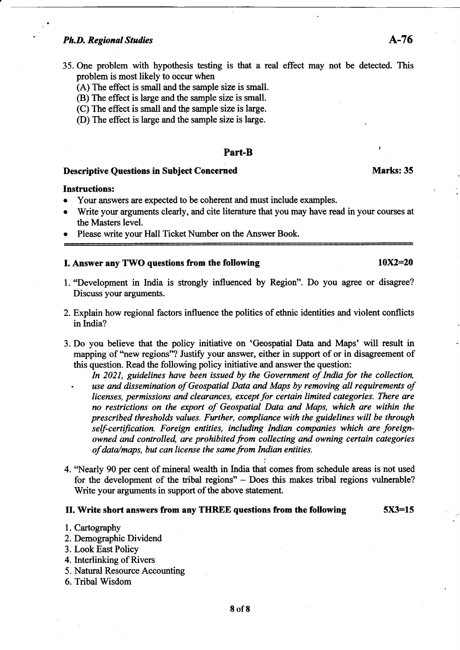- 35. One problem with hypothesis testing is that a real effect may not be detected. This problem is most likely to occur when
	- (A) The effect is small and the sample size is small.
	- (B) The effect is large and the sample size is small.
	- (C) The effect is small and the sample size is large.
	- (D) The effect is large and the sample size is large.

#### Part-B

#### Descriptive Questions in Subject Concemed

#### **Instructions:**

- Your answers are expected to be coherent and must include examples.
- Write your arguments clearly, and cite literature that you may have read in your courses at the Masters level.
- Please write your Hall Ticket Number on the Answer Book.

#### I. Answer any TWO questions from the following  $10X2=20$

- l. "Development in India is strongly influenced by Region". Do you agree or disagree? Discuss your arguments.
- 2. Explain how regional factors influence the politics of ethnic identities and violent conflicts in India?
- 3. Do you believe that the policy initiative on 'Geospatial Data and Maps' will result in mapping of 'hew regions"? Justify your answer, either in support of or in disagreement of this question. Read the following policy initiative.and answer the question:
	- In 2021, guidelines have been issued by the Government of India for the collection, use and dissemination of Geospatial Data and Maps by removing all requirements of licenses, perrnissions and clearances, except for certain limited categories. There are no restrictions on the export of Geospatial Data and Maps, which are within the prescribed thresholds values. Further, compliance with the guidelines will be through self-certification. Foreign entities, including Indian companies which are foreignowned and controlled, are prohibited from collecting and owning certain categories of data/maps, but can license the same from Indian entities.
- 4. 'Nearly 90 per cent of mineral wealth in India that comes from schedule areas is not used for the development of the tibal regions" - Does this makes tribal regions vulnerable? Write your arguments in support of the above statement.

#### II. Write short answers from any THREE questions from the following 5X3=15

- 1. Cartography
- 2. Demographic Dividend
- 3. Look East Policy
- 4. Interlinking of Rivers
- 5. Natural Resource Accounting
- 6. Tribal Wisdom

Marks: 35

I